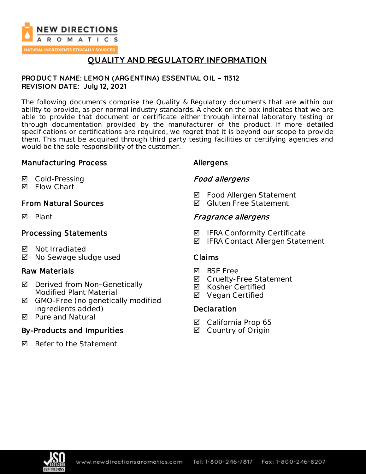

# **QUALITY AND REGULATORY INFORMATION**

### **PRODUC T NAME: LEMON (ARGENTINA) ESSENTIAL OIL – 11312 REVISION DATE: July 12, 2021**

The following documents comprise the Quality & Regulatory documents that are within our ability to provide, as per normal industry standards. A check on the box indicates that we are able to provide that document or certificate either through internal laboratory testing or through documentation provided by the manufacturer of the product. If more detailed specifications or certifications are required, we regret that it is beyond our scope to provide them. This must be acquired through third party testing facilities or certifying agencies and would be the sole responsibility of the customer.

## Manufacturing Process

- **Ø** Cold-Pressing
- **M** Flow Chart

## From Natural Sources

**Ø** Plant

## Processing Statements

- **Ø** Not Irradiated
- $\boxtimes$  No Sewage sludge used

## Raw Materials

- $\boxtimes$  Derived from Non-Genetically Modified Plant Material
- **Ø** GMO-Free (no genetically modified ingredients added)
- **M** Pure and Natural

# By-Products and Impurities

**Ø** Refer to the Statement

## Allergens

## Food allergens

- **Ø** Food Allergen Statement
- **Ø** Gluten Free Statement

## Fragrance allergens

- **Ø** IFRA Conformity Certificate
- $\boxtimes$  IFRA Contact Allergen Statement

### Claims

- **Ø** BSF Free
- **Ø** Cruelty-Free Statement
- **Ø** Kosher Certified
- **Ø** Vegan Certified

## **Declaration**

- California Prop 65
- **☑** Country of Origin

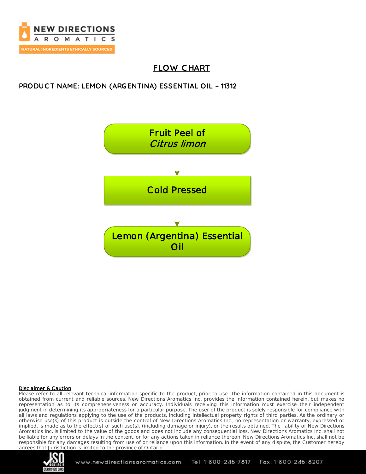

# **FLOW C HART**

## **PRODUC T NAME: LEMON (ARGENTINA) ESSENTIAL OIL – 11312**



#### Disclaimer & Caution

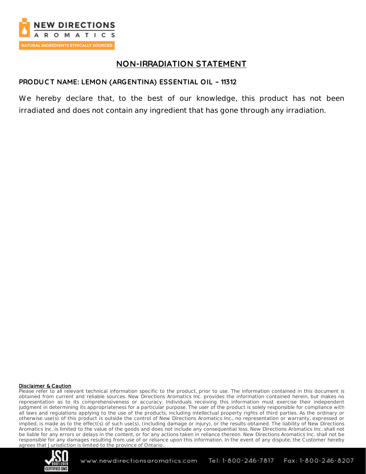

# **NON-IRRADIATION STATEMENT**

## **PRODUC T NAME: LEMON (ARGENTINA) ESSENTIAL OIL – 11312**

We hereby declare that, to the best of our knowledge, this product has not been irradiated and does not contain any ingredient that has gone through any irradiation.

#### Disclaimer & Caution

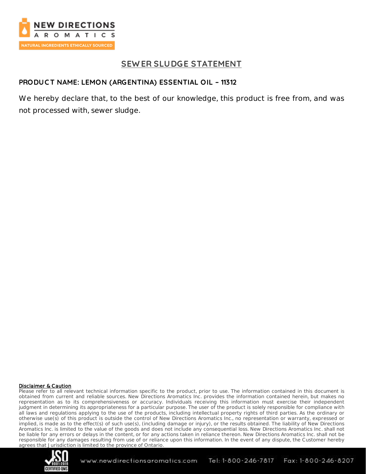

## **SEW ER SLUDGE STATEMENT**

## **PRODUC T NAME: LEMON (ARGENTINA) ESSENTIAL OIL – 11312**

We hereby declare that, to the best of our knowledge, this product is free from, and was not processed with, sewer sludge.

#### Disclaimer & Caution

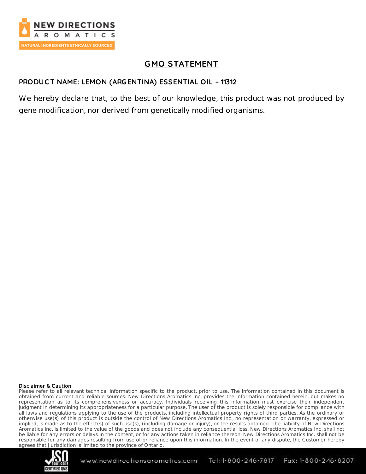

# **GMO STATEMENT**

## **PRODUC T NAME: LEMON (ARGENTINA) ESSENTIAL OIL – 11312**

We hereby declare that, to the best of our knowledge, this product was not produced by gene modification, nor derived from genetically modified organisms.

#### Disclaimer & Caution

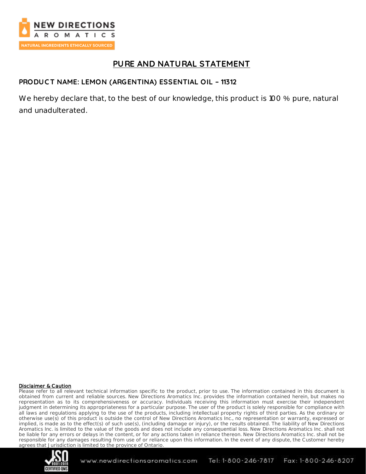

# **PURE AND NATURAL STATEMENT**

## **PRODUC T NAME: LEMON (ARGENTINA) ESSENTIAL OIL – 11312**

We hereby declare that, to the best of our knowledge, this product is 100 % pure, natural and unadulterated.

#### Disclaimer & Caution

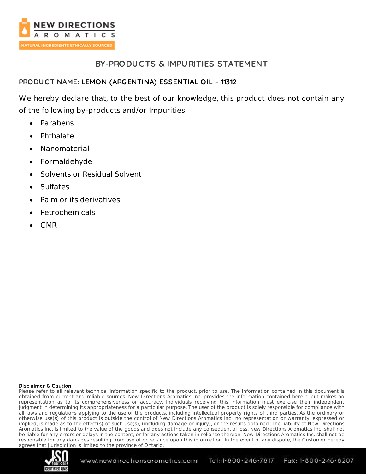

## **BY-PRODUC TS & IMPURITIES STATEMENT**

## **PRODUC T NAME: LEMON (ARGENTINA) ESSENTIAL OIL – 11312**

We hereby declare that, to the best of our knowledge, this product does not contain any of the following by-products and/or Impurities:

- Parabens
- Phthalate
- Nanomaterial
- Formaldehyde
- Solvents or Residual Solvent
- **Sulfates**
- Palm or its derivatives
- Petrochemicals
- $\bullet$  CMR

### Disclaimer & Caution

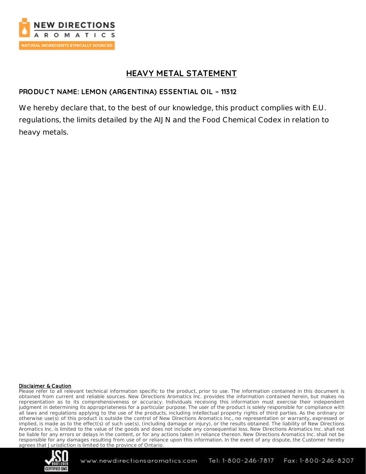

## **HEAVY METAL STATEMENT**

## **PRODUC T NAME: LEMON (ARGENTINA) ESSENTIAL OIL – 11312**

We hereby declare that, to the best of our knowledge, this product complies with E.U. regulations, the limits detailed by the AIJN and the Food Chemical Codex in relation to heavy metals.

#### Disclaimer & Caution

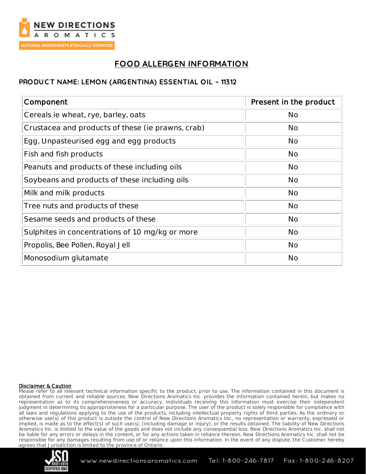

# **FOOD ALLERGEN INFORMATION**

## **PRODUC T NAME: LEMON (ARGENTINA) ESSENTIAL OIL – 11312**

| Component                                         | Present in the product |
|---------------------------------------------------|------------------------|
| Cereals ie wheat, rye, barley, oats               | <b>No</b>              |
| Crustacea and products of these (ie prawns, crab) | <b>No</b>              |
| Egg, Unpasteurised egg and egg products           | <b>No</b>              |
| Fish and fish products                            | <b>No</b>              |
| Peanuts and products of these including oils      | <b>No</b>              |
| Soybeans and products of these including oils     | <b>No</b>              |
| Milk and milk products                            | <b>No</b>              |
| Tree nuts and products of these                   | <b>No</b>              |
| Sesame seeds and products of these                | <b>No</b>              |
| Sulphites in concentrations of 1.0 mg/kg or more  | <b>No</b>              |
| Propolis, Bee Pollen, Royal Jell                  | <b>No</b>              |
| Monosodium glutamate                              | <b>No</b>              |

#### Disclaimer & Caution

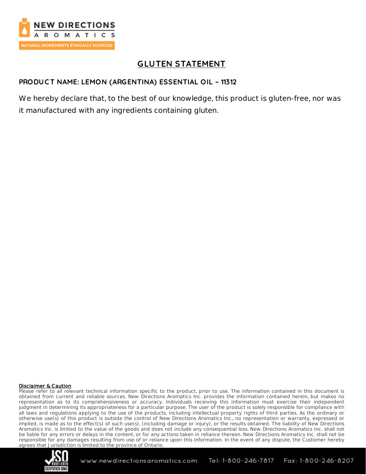

# **GLUTEN STATEMENT**

## **PRODUC T NAME: LEMON (ARGENTINA) ESSENTIAL OIL – 11312**

We hereby declare that, to the best of our knowledge, this product is gluten-free, nor was it manufactured with any ingredients containing gluten.

#### Disclaimer & Caution

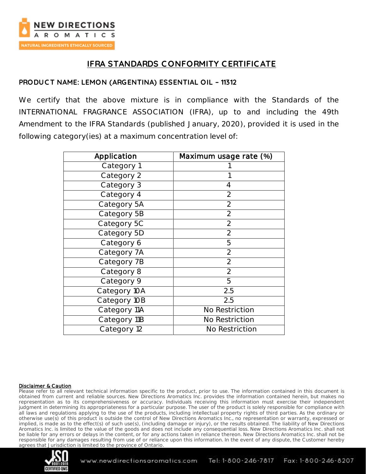

# **IFRA STANDARDS C ONFORMITY CERTIFIC ATE**

### **PRODUC T NAME: LEMON (ARGENTINA) ESSENTIAL OIL – 11312**

We certify that the above mixture is in compliance with the Standards of the INTERNATIONAL FRAGRANCE ASSOCIATION (IFRA), up to and including the 49th Amendment to the IFRA Standards (published January, 2020), provided it is used in the following category(ies) at a maximum concentration level of:

| Application  | Maximum usage rate (%) |  |
|--------------|------------------------|--|
| Category 1   |                        |  |
| Category 2   |                        |  |
| Category 3   | 4                      |  |
| Category 4   | $\overline{2}$         |  |
| Category 5A  | $\overline{2}$         |  |
| Category 5B  | $\overline{2}$         |  |
| Category 5C  | $\overline{2}$         |  |
| Category 5D  | $\overline{2}$         |  |
| Category 6   | 5                      |  |
| Category 7A  | $\overline{2}$         |  |
| Category 7B  | $\overline{2}$         |  |
| Category 8   | $\overline{2}$         |  |
| Category 9   | 5                      |  |
| Category 10A | 2.5                    |  |
| Category 10B | 2.5                    |  |
| Category 11A | No Restriction         |  |
| Category 11B | No Restriction         |  |
| Category 12  | No Restriction         |  |

#### Disclaimer & Caution

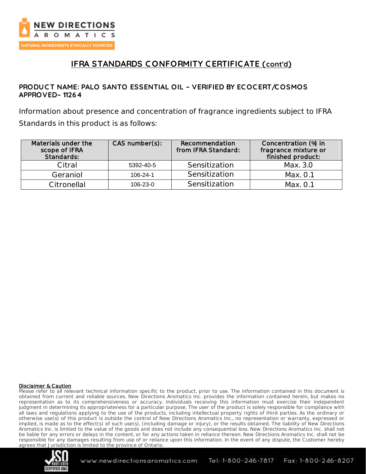

# **IFRA STANDARDS C ONFORMITY CERTIFIC ATE (cont'd)**

### **PRODUC T NAME: PALO SANTO ESSENTIAL OIL – VERIFIED BY EC OC ERT/C OSMOS APPROVED– 11264**

Information about presence and concentration of fragrance ingredients subject to IFRA Standards in this product is as follows:

| Materials under the<br>scope of IFRA<br>Standards: | $CAS$ number $(s)$ : | Recommendation<br>from IFRA Standard: | Concentration (%) in<br>fragrance mixture or<br>finished product: |
|----------------------------------------------------|----------------------|---------------------------------------|-------------------------------------------------------------------|
| Citral                                             | 5392-40-5            | Sensitization                         | Max. 3.0                                                          |
| Geraniol                                           | $106 - 24 - 1$       | Sensitization                         | Max. 0.1                                                          |
| Citronellal                                        | $106 - 23 - 0$       | Sensitization                         | Max. O.1                                                          |

#### Disclaimer & Caution

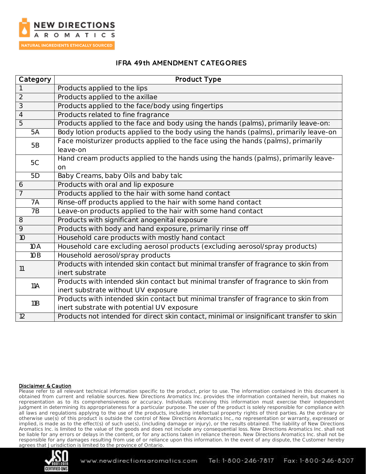

### **IFRA 49th AMENDMENT C ATEGORIES**

| Category       | Product Type                                                                                          |  |
|----------------|-------------------------------------------------------------------------------------------------------|--|
|                | Products applied to the lips                                                                          |  |
| $\overline{2}$ | Products applied to the axillae                                                                       |  |
| $\overline{3}$ | Products applied to the face/body using fingertips                                                    |  |
| $\overline{4}$ | Products related to fine fragrance                                                                    |  |
| $\overline{5}$ | Products applied to the face and body using the hands (palms), primarily leave-on:                    |  |
| 5A             | Body lotion products applied to the body using the hands (palms), primarily leave-on                  |  |
| <b>5B</b>      | Face moisturizer products applied to the face using the hands (palms), primarily<br>leave-on          |  |
| 5C             | Hand cream products applied to the hands using the hands (palms), primarily leave-<br>on              |  |
| 5D             | Baby Creams, baby Oils and baby talc                                                                  |  |
| 6              | Products with oral and lip exposure                                                                   |  |
| $\overline{7}$ | Products applied to the hair with some hand contact                                                   |  |
| 7A             | Rinse-off products applied to the hair with some hand contact                                         |  |
| 7B             | Leave-on products applied to the hair with some hand contact                                          |  |
| 8              | Products with significant anogenital exposure                                                         |  |
| 9              | Products with body and hand exposure, primarily rinse off                                             |  |
| 10             | Household care products with mostly hand contact                                                      |  |
| 10A            | Household care excluding aerosol products (excluding aerosol/spray products)                          |  |
| 10B            | Household aerosol/spray products                                                                      |  |
| 11             | Products with intended skin contact but minimal transfer of fragrance to skin from<br>inert substrate |  |
| 11A            | Products with intended skin contact but minimal transfer of fragrance to skin from                    |  |
|                | inert substrate without UV exposure                                                                   |  |
| 11B            | Products with intended skin contact but minimal transfer of fragrance to skin from                    |  |
|                | inert substrate with potential UV exposure                                                            |  |
| 12             | Products not intended for direct skin contact, minimal or insignificant transfer to skin              |  |

#### Disclaimer & Caution

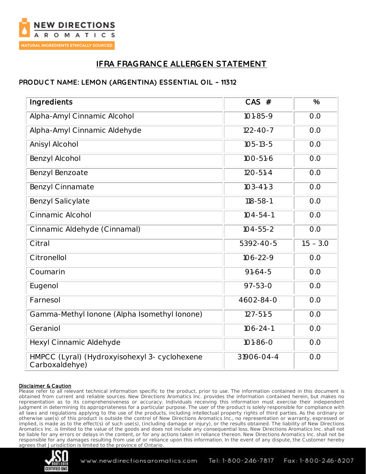

# **IFRA FRAGRANC E ALLERGEN STATEMENT**

### **PRODUC T NAME: LEMON (ARGENTINA) ESSENTIAL OIL – 11312**

| Ingredients                                                     | $CAS$ #        | $\frac{0}{0}$ |
|-----------------------------------------------------------------|----------------|---------------|
| Alpha-Amyl Cinnamic Alcohol                                     | $101 - 85 - 9$ | O.O           |
| Alpha-Amyl Cinnamic Aldehyde                                    | $122 - 40 - 7$ | O.O           |
| Anisyl Alcohol                                                  | $105 - 13 - 5$ | O.O           |
| Benzyl Alcohol                                                  | $100 - 51 - 6$ | O.O           |
| Benzyl Benzoate                                                 | $120 - 51 - 4$ | O.O           |
| Benzyl Cinnamate                                                | $103 - 41 - 3$ | O.O           |
| Benzyl Salicylate                                               | $118 - 58 - 1$ | O.O           |
| Cinnamic Alcohol                                                | $104 - 54 - 1$ | O.O           |
| Cinnamic Aldehyde (Cinnamal)                                    | $104 - 55 - 2$ | O.O           |
| Citral                                                          | 5392-40-5      | $1.5 - 3.0$   |
| Citronellol                                                     | $106 - 22 - 9$ | O.O           |
| Coumarin                                                        | $91 - 64 - 5$  | O.O           |
| Eugenol                                                         | $97 - 53 - 0$  | O.O           |
| Farnesol                                                        | 4602-84-0      | O.O           |
| Gamma-Methyl Ionone (Alpha Isomethyl Ionone)                    | $127 - 51 - 5$ | O.O           |
| Geraniol                                                        | $106 - 24 - 1$ | O.O           |
| Hexyl Cinnamic Aldehyde                                         | $101 - 86 - 0$ | O.O           |
| HMPCC (Lyral) (Hydroxyisohexyl 3- cyclohexene<br>Carboxaldehye) | 31906-04-4     | O.O           |

#### Disclaimer & Caution

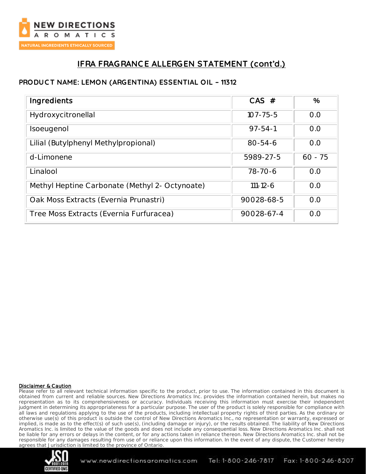

# **IFRA FRAGRANC E ALLERGEN STATEMENT (cont'd.)**

## **PRODUC T NAME: LEMON (ARGENTINA) ESSENTIAL OIL – 11312**

| Ingredients                                    | $CAS$ #        | $\frac{0}{0}$ |
|------------------------------------------------|----------------|---------------|
| Hydroxycitronellal                             | $107 - 75 - 5$ | O.O           |
| Isoeugenol                                     | $97 - 54 - 1$  | O.O           |
| Lilial (Butylphenyl Methylpropional)           | $80 - 54 - 6$  | O.O           |
| d-Limonene                                     | 5989-27-5      | $60 - 75$     |
| Linalool                                       | 78-70-6        | O.O           |
| Methyl Heptine Carbonate (Methyl 2- Octynoate) | $111 - 12 - 6$ | O.O           |
| Oak Moss Extracts (Evernia Prunastri)          | 90028-68-5     | O.O           |
| Tree Moss Extracts (Evernia Furfuracea)        | 90028-67-4     | O.O           |

#### Disclaimer & Caution

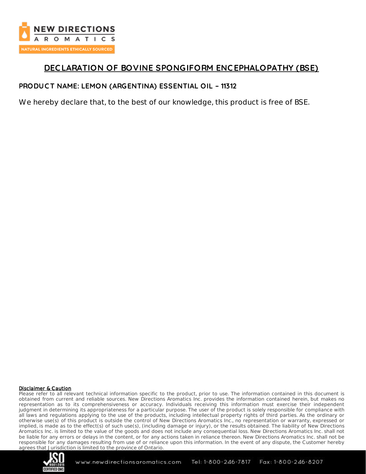

## **DEC LARATION OF BOVINE SPONGIFORM ENC EPHALOPATHY (BSE)**

### **PRODUC T NAME: LEMON (ARGENTINA) ESSENTIAL OIL – 11312**

We hereby declare that, to the best of our knowledge, this product is free of BSE.

#### Disclaimer & Caution

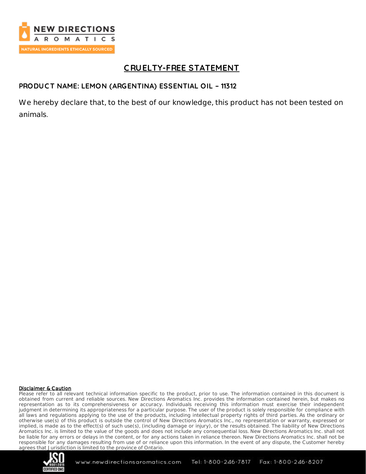

# **C RUELTY-FREE STATEMENT**

### **PRODUC T NAME: LEMON (ARGENTINA) ESSENTIAL OIL – 11312**

We hereby declare that, to the best of our knowledge, this product has not been tested on animals.

#### Disclaimer & Caution

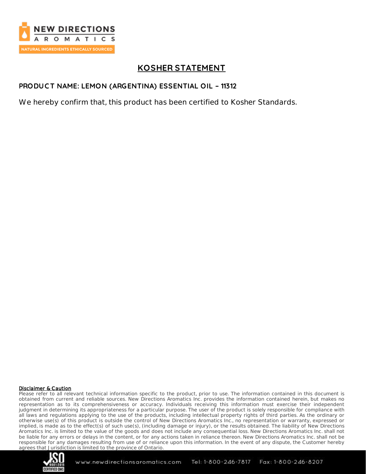

# **KOSHER STATEMENT**

### **PRODUC T NAME: LEMON (ARGENTINA) ESSENTIAL OIL – 11312**

We hereby confirm that, this product has been certified to Kosher Standards.

#### Disclaimer & Caution

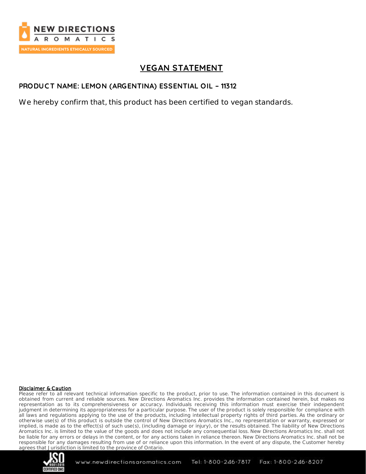

# **VEGAN STATEMENT**

### **PRODUC T NAME: LEMON (ARGENTINA) ESSENTIAL OIL – 11312**

We hereby confirm that, this product has been certified to vegan standards.

#### Disclaimer & Caution

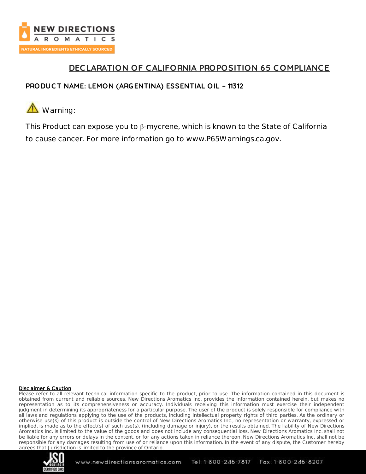

# **DEC LARATION OF C ALIFORNIA PROPOSITION 65 COMPLIANC E**

## **PRODUC T NAME: LEMON (ARGENTINA) ESSENTIAL OIL – 11312**



This Product can expose you to β-mycrene, which is known to the State of California to cause cancer. For more information go to www.P65Warnings.ca.gov.

#### Disclaimer & Caution